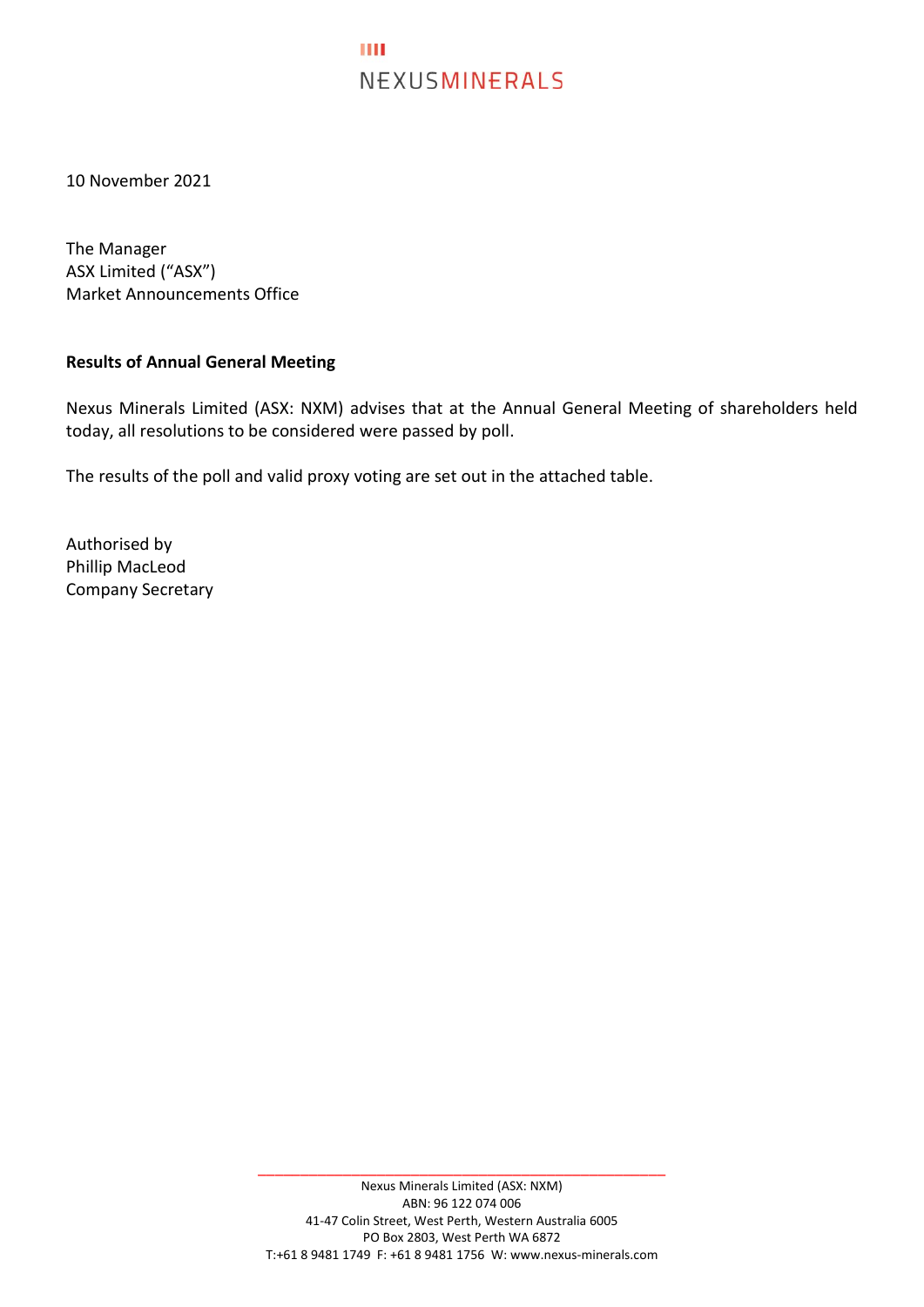## **THE** NEXUSMINERALS

10 November 2021

The Manager ASX Limited ("ASX") Market Announcements Office

## **Results of Annual General Meeting**

Nexus Minerals Limited (ASX: NXM) advises that at the Annual General Meeting of shareholders held today, all resolutions to be considered were passed by poll.

The results of the poll and valid proxy voting are set out in the attached table.

Authorised by Phillip MacLeod Company Secretary

\_\_\_\_\_\_\_\_\_\_\_\_\_\_\_\_\_\_\_\_\_\_\_\_\_\_\_\_\_\_\_\_\_\_\_\_\_\_\_\_\_\_\_\_\_\_\_\_